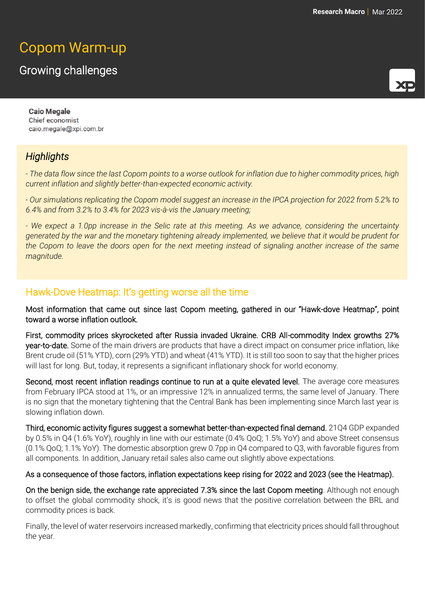# Copom Warm-up

## Growing challenges



**Caio Megale Chief economist** caio.megale@xpi.com.br

## *Highlights*

*- The data flow since the last Copom points to a worse outlook for inflation due to higher commodity prices, high current inflation and slightly better-than-expected economic activity.* 

*- Our simulations replicating the Copom model suggest an increase in the IPCA projection for 2022 from 5.2% to 6.4% and from 3.2% to 3.4% for 2023 vis-à-vis the January meeting;*

*- We expect a 1.0pp increase in the Selic rate at this meeting. As we advance, considering the uncertainty generated by the war and the monetary tightening already implemented, we believe that it would be prudent for the Copom to leave the doors open for the next meeting instead of signaling another increase of the same magnitude.*

### Hawk-Dove Heatmap: It's getting worse all the time

Most information that came out since last Copom meeting, gathered in our "Hawk-dove Heatmap", point toward a worse inflation outlook.

First, commodity prices skyrocketed after Russia invaded Ukraine. CRB All-commodity Index growths 27% year-to-date. Some of the main drivers are products that have a direct impact on consumer price inflation, like Brent crude oil (51% YTD), corn (29% YTD) and wheat (41% YTD). It is still too soon to say that the higher prices will last for long. But, today, it represents a significant inflationary shock for world economy.

Second, most recent inflation readings continue to run at a quite elevated level. The average core measures from February IPCA stood at 1%, or an impressive 12% in annualized terms, the same level of January. There is no sign that the monetary tightening that the Central Bank has been implementing since March last year is slowing inflation down.

Third, economic activity figures suggest a somewhat better-than-expected final demand. 21Q4 GDP expanded by 0.5% in Q4 (1.6% YoY), roughly in line with our estimate (0.4% QoQ; 1.5% YoY) and above Street consensus (0.1% QoQ; 1.1% YoY). The domestic absorption grew 0.7pp in Q4 compared to Q3, with favorable figures from all components. In addition, January retail sales also came out slightly above expectations.

#### As a consequence of those factors, inflation expectations keep rising for 2022 and 2023 (see the Heatmap).

On the benign side, the exchange rate appreciated 7.3% since the last Copom meeting. Although not enough to offset the global commodity shock, it's is good news that the positive correlation between the BRL and commodity prices is back.

Finally, the level of water reservoirs increased markedly, confirming that electricity prices should fall throughout the year.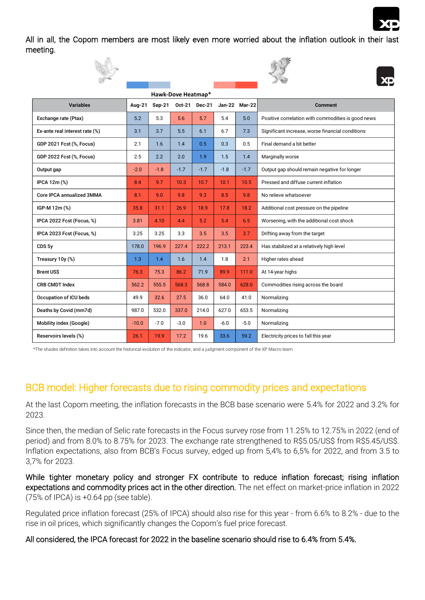

All in all, the Copom members are most likely even more worried about the inflation outlook in their last meeting.







| <b>Variables</b>               | Aug-21  | <b>Sep-21</b> | <b>Oct-21</b> | <b>Dec-21</b> | Jan-22 | <b>Mar-22</b> | <b>Comment</b>                                     |  |
|--------------------------------|---------|---------------|---------------|---------------|--------|---------------|----------------------------------------------------|--|
| Exchange rate (Ptax)           | 5.2     | 5.3           | 5.6           | 5.7           | 5.4    | 5.0           | Positive correlation with commodities is good news |  |
| Ex-ante real interest rate (%) | 3.1     | 3.7           | 5.5           | 6.1           | 6.7    | 7.3           | Significant increase, worse financial conditions   |  |
| GDP 2021 Fcst (%, Focus)       | 2.1     | 1.6           | 1.4           | 0.5           | 0.3    | 0.5           | Final demand a bit better                          |  |
| GDP 2022 Fcst (%, Focus)       | 2.5     | 2.2           | 2.0           | 1.9           | 1.5    | 1.4           | Marginally worse                                   |  |
| Output gap                     | $-2.0$  | $-1.8$        | $-1.7$        | $-1.7$        | $-1.8$ | $-1.7$        | Output gap should remain negative for longer       |  |
| IPCA 12m (%)                   | 8.4     | 9.7           | 10.3          | 10.7          | 10.1   | 10.5          | Pressed and diffuse current inflation              |  |
| Core IPCA annualized 3MMA      | 8.1     | 9.0           | 9.8           | 9.3           | 8.5    | 9.8           | No relieve whatsoever                              |  |
| IGP-M 12m (%)                  | 35.8    | 31.1          | 26.9          | 18.9          | 17.8   | 18.2          | Additional cost pressure on the pipeline           |  |
| IPCA 2022 Fcst (Focus, %)      | 3.81    | 4.10          | 4.4           | 5.2           | 5.4    | 6.5           | Worsening, with the additional cost shock          |  |
| IPCA 2023 Fcst (Focus, %)      | 3.25    | 3.25          | 3.3           | 3.5           | 3.5    | 3.7           | Drifting away from the target                      |  |
| CDS <sub>5y</sub>              | 178.0   | 196.9         | 227.4         | 222.2         | 213.1  | 223.4         | Has stabilized at a relatively high level          |  |
| Treasury 10y (%)               | 1.3     | 1.4           | 1.6           | 1.4           | 1.8    | 2.1           | Higher rates ahead                                 |  |
| <b>Brent US\$</b>              | 76.3    | 75.3          | 86.2          | 71.9          | 89.9   | 111.0         | At 14-year highs                                   |  |
| <b>CRB CMDT Index</b>          | 562.2   | 555.5         | 568.3         | 568.8         | 584.0  | 628.0         | Commodities rising across the board                |  |
| Occupation of ICU beds         | 49.9    | 32.6          | 27.5          | 36.0          | 64.0   | 41.0          | Normalizing                                        |  |
| Deaths by Covid (mm7d)         | 987.0   | 532.0         | 337.0         | 214.0         | 627.0  | 653.5         | Normalizing                                        |  |
| Mobility index (Google)        | $-10.0$ | $-7.0$        | $-3.0$        | 1.0           | $-6.0$ | $-5.0$        | Normalizing                                        |  |
| Reservoirs levels (%)          | 26.1    | 19.9          | 17.2          | 19.6          | 33.6   | 59.2          | Electricity prices to fall this year               |  |

\*The shades definition takes into account the historical evolution of the indicator, and a judgment component of the XP Macro team

## BCB model: Higher forecasts due to rising commodity prices and expectations

At the last Copom meeting, the inflation forecasts in the BCB base scenario were 5.4% for 2022 and 3.2% for 2023.

Since then, the median of Selic rate forecasts in the Focus survey rose from 11.25% to 12.75% in 2022 (end of period) and from 8.0% to 8.75% for 2023. The exchange rate strengthened to R\$5.05/US\$ from R\$5.45/US\$. Inflation expectations, also from BCB's Focus survey, edged up from 5,4% to 6,5% for 2022, and from 3.5 to 3,7% for 2023.

While tighter monetary policy and stronger FX contribute to reduce inflation forecast; rising inflation expectations and commodity prices act in the other direction. The net effect on market-price inflation in 2022 (75% of IPCA) is +0.64 pp (see table).

Regulated price inflation forecast (25% of IPCA) should also rise for this year - from 6.6% to 8.2% - due to the rise in oil prices, which significantly changes the Copom's fuel price forecast.

All considered, the IPCA forecast for 2022 in the baseline scenario should rise to 6.4% from 5.4%.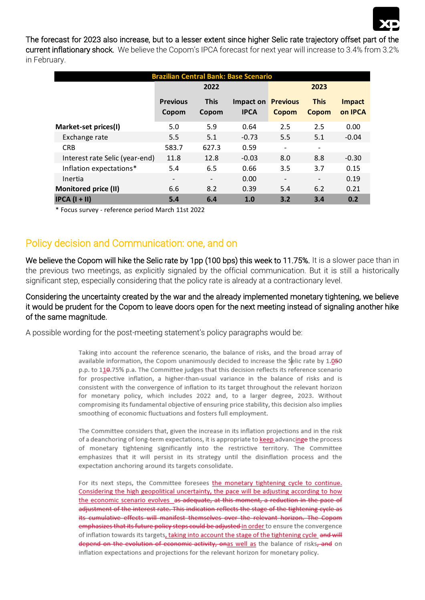

#### The forecast for 2023 also increase, but to a lesser extent since higher Selic rate trajectory offset part of the

current inflationary shock. We believe the Copom's IPCA forecast for next year will increase to 3.4% from 3.2% in February.

| <b>Brazilian Central Bank: Base Scenario</b> |                          |                          |             |                 |                          |               |  |  |  |  |  |
|----------------------------------------------|--------------------------|--------------------------|-------------|-----------------|--------------------------|---------------|--|--|--|--|--|
|                                              |                          | 2022                     |             | 2023            |                          |               |  |  |  |  |  |
|                                              | <b>Previous</b>          | <b>This</b>              | Impact on   | <b>Previous</b> | <b>This</b>              | <b>Impact</b> |  |  |  |  |  |
|                                              | Copom                    | Copom                    | <b>IPCA</b> | Copom           | Copom                    | on IPCA       |  |  |  |  |  |
| Market-set prices(I)                         | 5.0                      | 5.9                      | 0.64        | 2.5             | 2.5                      | 0.00          |  |  |  |  |  |
| Exchange rate                                | 5.5                      | 5.1                      | $-0.73$     | 5.5             | 5.1                      | $-0.04$       |  |  |  |  |  |
| <b>CRB</b>                                   | 583.7                    | 627.3                    | 0.59        |                 |                          |               |  |  |  |  |  |
| Interest rate Selic (year-end)               | 11.8                     | 12.8                     | $-0.03$     | 8.0             | 8.8                      | $-0.30$       |  |  |  |  |  |
| Inflation expectations*                      | 5.4                      | 6.5                      | 0.66        | 3.5             | 3.7                      | 0.15          |  |  |  |  |  |
| Inertia                                      | $\overline{\phantom{a}}$ | $\overline{\phantom{0}}$ | 0.00        |                 | $\overline{\phantom{0}}$ | 0.19          |  |  |  |  |  |
| Monitored price (II)                         | 6.6                      | 8.2                      | 0.39        | 5.4             | 6.2                      | 0.21          |  |  |  |  |  |
| $IPCA (I + II)$                              | 5.4                      | 6.4                      | 1.0         | 3.2             | 3.4                      | 0.2           |  |  |  |  |  |

\* Focus survey - reference period March 11st 2022

## Policy decision and Communication: one, and on

We believe the Copom will hike the Selic rate by 1pp (100 bps) this week to 11.75%. It is a slower pace than in the previous two meetings, as explicitly signaled by the official communication. But it is still a historically significant step, especially considering that the policy rate is already at a contractionary level.

#### Considering the uncertainty created by the war and the already implemented monetary tightening, we believe it would be prudent for the Copom to leave doors open for the next meeting instead of signaling another hike of the same magnitude.

A possible wording for the post-meeting statement's policy paragraphs would be:

Taking into account the reference scenario, the balance of risks, and the broad array of available information, the Copom unanimously decided to increase the Selic rate by 1.050 p.p. to 110.75% p.a. The Committee judges that this decision reflects its reference scenario for prospective inflation, a higher-than-usual variance in the balance of risks and is consistent with the convergence of inflation to its target throughout the relevant horizon for monetary policy, which includes 2022 and, to a larger degree, 2023. Without compromising its fundamental objective of ensuring price stability, this decision also implies smoothing of economic fluctuations and fosters full employment.

The Committee considers that, given the increase in its inflation projections and in the risk of a deanchoring of long-term expectations, it is appropriate to keep advancinge the process of monetary tightening significantly into the restrictive territory. The Committee emphasizes that it will persist in its strategy until the disinflation process and the expectation anchoring around its targets consolidate.

For its next steps, the Committee foresees the monetary tightening cycle to continue. Considering the high geopolitical uncertainty, the pace will be adjusting according to how the economic scenario evolves as adequate, at this moment, a reduction in the pace of adjustment of the interest rate. This indication reflects the stage of the tightening cycle as its cumulative effects will manifest themselves over the relevant horizon. The Copom emphasizes that its future policy steps could be adjusted in order to ensure the convergence of inflation towards its targets, taking into account the stage of the tightening cycle and will depend on the evolution of economic activity, onas well as the balance of risks, and on inflation expectations and projections for the relevant horizon for monetary policy.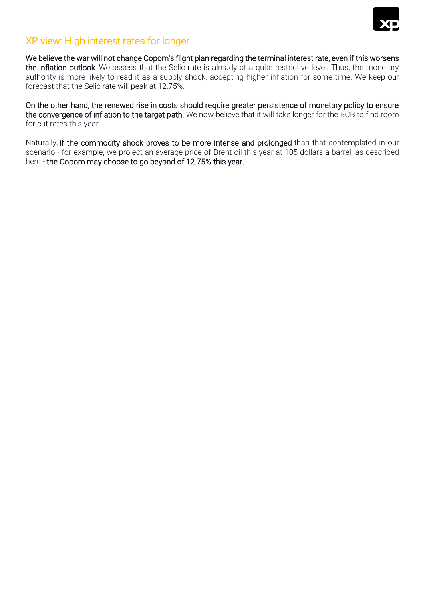

## XP view: High interest rates for longer

We believe the war will not change Copom's flight plan regarding the terminal interest rate, even if this worsens the inflation outlook. We assess that the Selic rate is already at a quite restrictive level. Thus, the monetary authority is more likely to read it as a supply shock, accepting higher inflation for some time. We keep our forecast that the Selic rate will peak at 12.75%.

On the other hand, the renewed rise in costs should require greater persistence of monetary policy to ensure the convergence of inflation to the target path. We now believe that it will take longer for the BCB to find room for cut rates this year.

Naturally, if the commodity shock proves to be more intense and prolonged than that contemplated in our scenario - for example, we project an average price of Brent oil this year at 105 dollars a barrel, as described here - the Copom may choose to go beyond of 12.75% this year.